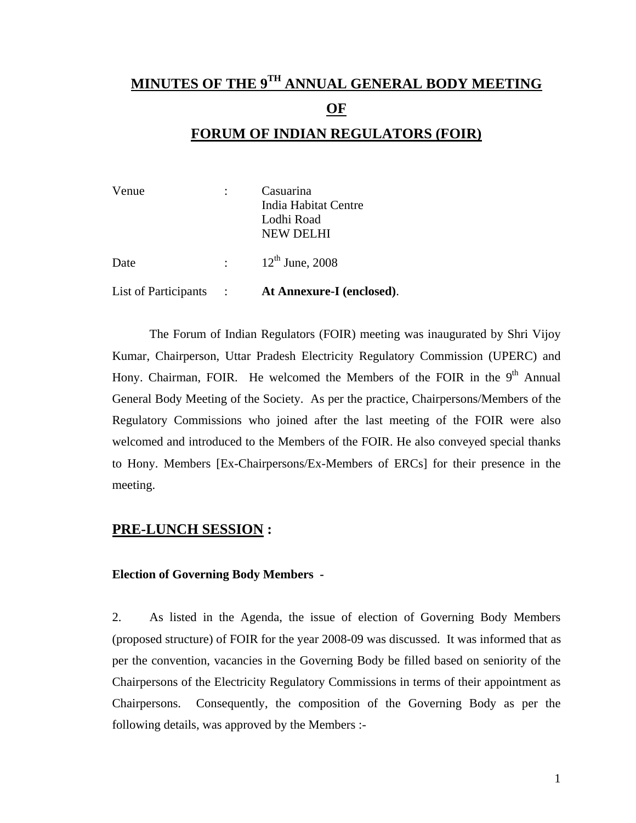# **MINUTES OF THE 9TH ANNUAL GENERAL BODY MEETING OF FORUM OF INDIAN REGULATORS (FOIR)**

| Venue                |                                             | Casuarina<br>India Habitat Centre<br>Lodhi Road<br>NEW DELHI |
|----------------------|---------------------------------------------|--------------------------------------------------------------|
| Date                 | $\sigma_{\rm{max}}$ and $\sigma_{\rm{max}}$ | $12^{th}$ June, 2008                                         |
| List of Participants |                                             | At Annexure-I (enclosed).                                    |

 The Forum of Indian Regulators (FOIR) meeting was inaugurated by Shri Vijoy Kumar, Chairperson, Uttar Pradesh Electricity Regulatory Commission (UPERC) and Hony. Chairman, FOIR. He welcomed the Members of the FOIR in the  $9<sup>th</sup>$  Annual General Body Meeting of the Society. As per the practice, Chairpersons/Members of the Regulatory Commissions who joined after the last meeting of the FOIR were also welcomed and introduced to the Members of the FOIR. He also conveyed special thanks to Hony. Members [Ex-Chairpersons/Ex-Members of ERCs] for their presence in the meeting.

## **PRE-LUNCH SESSION :**

## **Election of Governing Body Members -**

2. As listed in the Agenda, the issue of election of Governing Body Members (proposed structure) of FOIR for the year 2008-09 was discussed. It was informed that as per the convention, vacancies in the Governing Body be filled based on seniority of the Chairpersons of the Electricity Regulatory Commissions in terms of their appointment as Chairpersons. Consequently, the composition of the Governing Body as per the following details, was approved by the Members :-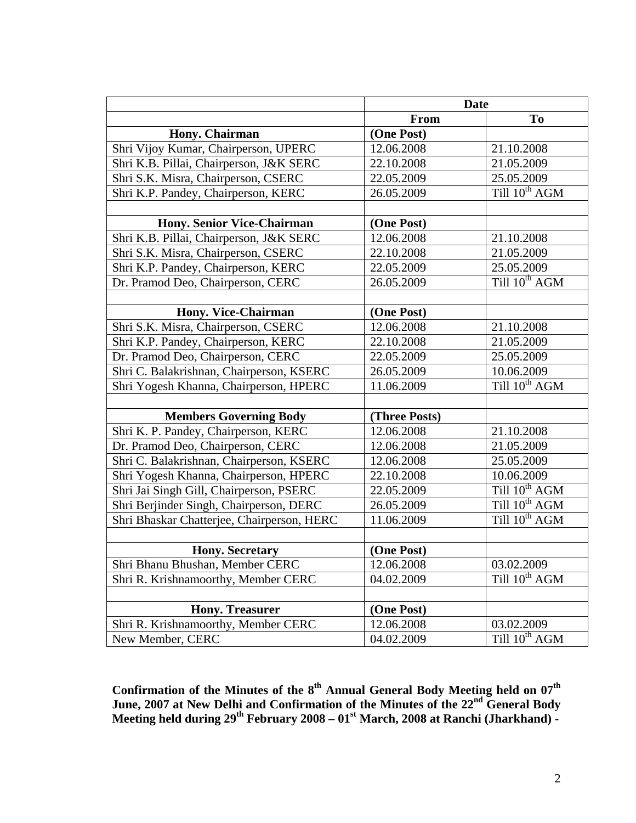| <b>Date</b>                                |               |                           |
|--------------------------------------------|---------------|---------------------------|
|                                            | From          | T <sub>o</sub>            |
| Hony. Chairman                             | (One Post)    |                           |
| Shri Vijoy Kumar, Chairperson, UPERC       | 12.06.2008    | 21.10.2008                |
| Shri K.B. Pillai, Chairperson, J&K SERC    | 22.10.2008    | 21.05.2009                |
| Shri S.K. Misra, Chairperson, CSERC        | 22.05.2009    | 25.05.2009                |
| Shri K.P. Pandey, Chairperson, KERC        | 26.05.2009    | Till $10^{th}$ AGM        |
|                                            |               |                           |
| <b>Hony. Senior Vice-Chairman</b>          | (One Post)    |                           |
| Shri K.B. Pillai, Chairperson, J&K SERC    | 12.06.2008    | 21.10.2008                |
| Shri S.K. Misra, Chairperson, CSERC        | 22.10.2008    | 21.05.2009                |
| Shri K.P. Pandey, Chairperson, KERC        | 22.05.2009    | 25.05.2009                |
| Dr. Pramod Deo, Chairperson, CERC          | 26.05.2009    | Till 10 <sup>th</sup> AGM |
|                                            |               |                           |
| Hony. Vice-Chairman                        | (One Post)    |                           |
| Shri S.K. Misra, Chairperson, CSERC        | 12.06.2008    | 21.10.2008                |
| Shri K.P. Pandey, Chairperson, KERC        | 22.10.2008    | 21.05.2009                |
| Dr. Pramod Deo, Chairperson, CERC          | 22.05.2009    | 25.05.2009                |
| Shri C. Balakrishnan, Chairperson, KSERC   | 26.05.2009    | 10.06.2009                |
| Shri Yogesh Khanna, Chairperson, HPERC     | 11.06.2009    | Till 10 <sup>th</sup> AGM |
|                                            |               |                           |
| <b>Members Governing Body</b>              | (Three Posts) |                           |
| Shri K. P. Pandey, Chairperson, KERC       | 12.06.2008    | 21.10.2008                |
| Dr. Pramod Deo, Chairperson, CERC          | 12.06.2008    | 21.05.2009                |
| Shri C. Balakrishnan, Chairperson, KSERC   | 12.06.2008    | 25.05.2009                |
| Shri Yogesh Khanna, Chairperson, HPERC     | 22.10.2008    | 10.06.2009                |
| Shri Jai Singh Gill, Chairperson, PSERC    | 22.05.2009    | Till 10 <sup>th</sup> AGM |
| Shri Berjinder Singh, Chairperson, DERC    | 26.05.2009    | Till $10^{th}$ AGM        |
| Shri Bhaskar Chatterjee, Chairperson, HERC | 11.06.2009    | Till 10 <sup>th</sup> AGM |
|                                            |               |                           |
| <b>Hony.</b> Secretary                     | (One Post)    |                           |
| Shri Bhanu Bhushan, Member CERC            | 12.06.2008    | 03.02.2009                |
| Shri R. Krishnamoorthy, Member CERC        | 04.02.2009    | Till $10^{th}$ AGM        |
|                                            |               |                           |
| <b>Hony. Treasurer</b>                     | (One Post)    |                           |
| Shri R. Krishnamoorthy, Member CERC        | 12.06.2008    | 03.02.2009                |
| New Member, CERC                           | 04.02.2009    | Till 10 <sup>th</sup> AGM |

Confirmation of the Minutes of the 8<sup>th</sup> Annual General Body Meeting held on 07<sup>th</sup> **June, 2007 at New Delhi and Confirmation of the Minutes of the 22nd General Body**  Meeting held during 29<sup>th</sup> February 2008 – 01<sup>st</sup> March, 2008 at Ranchi (Jharkhand) -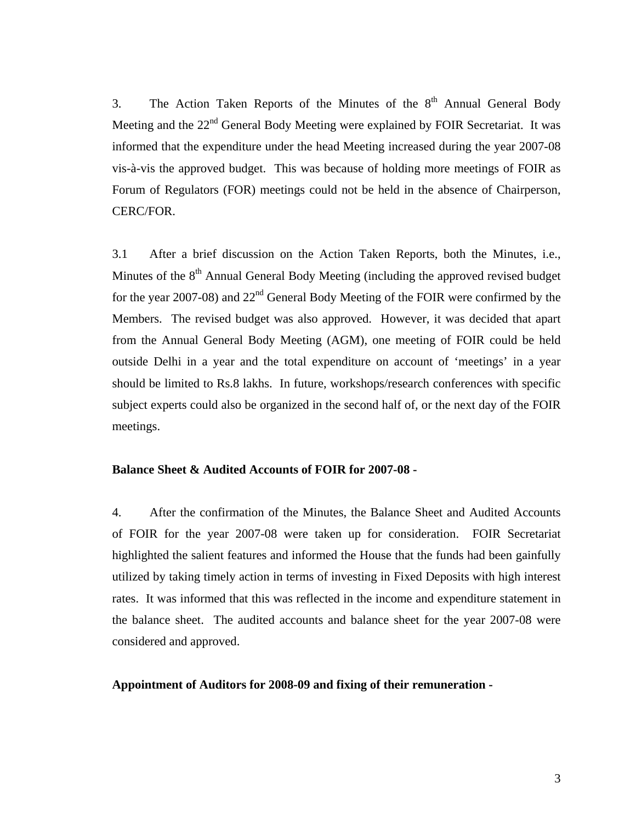3. The Action Taken Reports of the Minutes of the  $8<sup>th</sup>$  Annual General Body Meeting and the 22<sup>nd</sup> General Body Meeting were explained by FOIR Secretariat. It was informed that the expenditure under the head Meeting increased during the year 2007-08 vis-à-vis the approved budget. This was because of holding more meetings of FOIR as Forum of Regulators (FOR) meetings could not be held in the absence of Chairperson, CERC/FOR.

3.1 After a brief discussion on the Action Taken Reports, both the Minutes, i.e., Minutes of the  $8<sup>th</sup>$  Annual General Body Meeting (including the approved revised budget for the year 2007-08) and  $22<sup>nd</sup>$  General Body Meeting of the FOIR were confirmed by the Members. The revised budget was also approved. However, it was decided that apart from the Annual General Body Meeting (AGM), one meeting of FOIR could be held outside Delhi in a year and the total expenditure on account of 'meetings' in a year should be limited to Rs.8 lakhs. In future, workshops/research conferences with specific subject experts could also be organized in the second half of, or the next day of the FOIR meetings.

#### **Balance Sheet & Audited Accounts of FOIR for 2007-08 -**

4. After the confirmation of the Minutes, the Balance Sheet and Audited Accounts of FOIR for the year 2007-08 were taken up for consideration. FOIR Secretariat highlighted the salient features and informed the House that the funds had been gainfully utilized by taking timely action in terms of investing in Fixed Deposits with high interest rates. It was informed that this was reflected in the income and expenditure statement in the balance sheet. The audited accounts and balance sheet for the year 2007-08 were considered and approved.

#### **Appointment of Auditors for 2008-09 and fixing of their remuneration -**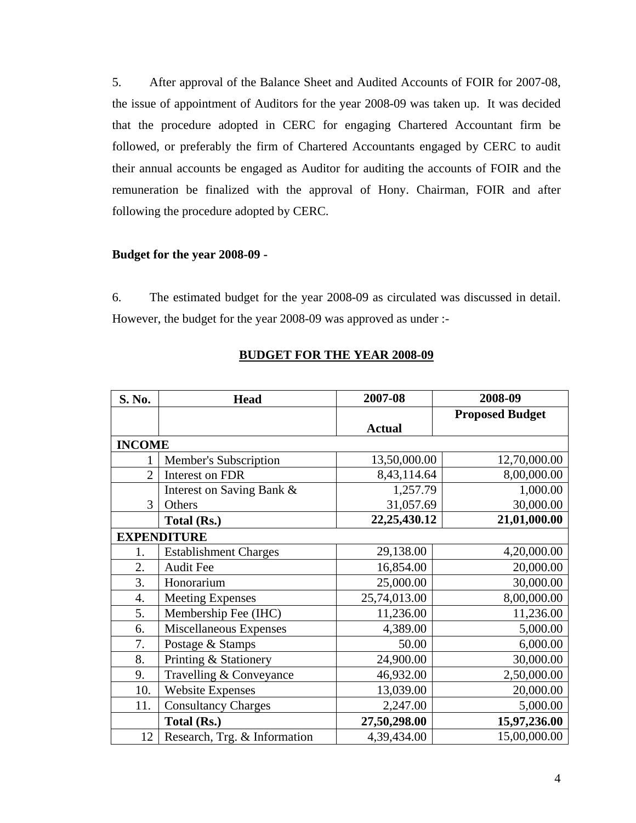5. After approval of the Balance Sheet and Audited Accounts of FOIR for 2007-08, the issue of appointment of Auditors for the year 2008-09 was taken up. It was decided that the procedure adopted in CERC for engaging Chartered Accountant firm be followed, or preferably the firm of Chartered Accountants engaged by CERC to audit their annual accounts be engaged as Auditor for auditing the accounts of FOIR and the remuneration be finalized with the approval of Hony. Chairman, FOIR and after following the procedure adopted by CERC.

#### **Budget for the year 2008-09 -**

6. The estimated budget for the year 2008-09 as circulated was discussed in detail. However, the budget for the year 2008-09 was approved as under :-

| S. No.             | <b>Head</b>                  | 2007-08         | 2008-09                |
|--------------------|------------------------------|-----------------|------------------------|
|                    |                              |                 | <b>Proposed Budget</b> |
|                    |                              | <b>Actual</b>   |                        |
| <b>INCOME</b>      |                              |                 |                        |
|                    | Member's Subscription        | 13,50,000.00    | 12,70,000.00           |
| $\overline{2}$     | Interest on FDR              | 8,43,114.64     | 8,00,000.00            |
|                    | Interest on Saving Bank &    | 1,257.79        | 1,000.00               |
| 3                  | Others                       | 31,057.69       | 30,000.00              |
|                    | Total (Rs.)                  | 22, 25, 430. 12 | 21,01,000.00           |
| <b>EXPENDITURE</b> |                              |                 |                        |
| 1.                 | <b>Establishment Charges</b> | 29,138.00       | 4,20,000.00            |
| 2.                 | <b>Audit Fee</b>             | 16,854.00       | 20,000.00              |
| 3.                 | Honorarium                   | 25,000.00       | 30,000.00              |
| 4.                 | <b>Meeting Expenses</b>      | 25,74,013.00    | 8,00,000.00            |
| 5.                 | Membership Fee (IHC)         | 11,236.00       | 11,236.00              |
| 6.                 | Miscellaneous Expenses       | 4,389.00        | 5,000.00               |
| 7.                 | Postage & Stamps             | 50.00           | 6,000.00               |
| 8.                 | Printing & Stationery        | 24,900.00       | 30,000.00              |
| 9.                 | Travelling & Conveyance      | 46,932.00       | 2,50,000.00            |
| 10.                | <b>Website Expenses</b>      | 13,039.00       | 20,000.00              |
| 11.                | <b>Consultancy Charges</b>   | 2,247.00        | 5,000.00               |
|                    | Total (Rs.)                  | 27,50,298.00    | 15,97,236.00           |
| 12                 | Research, Trg. & Information | 4,39,434.00     | 15,00,000.00           |

## **BUDGET FOR THE YEAR 2008-09**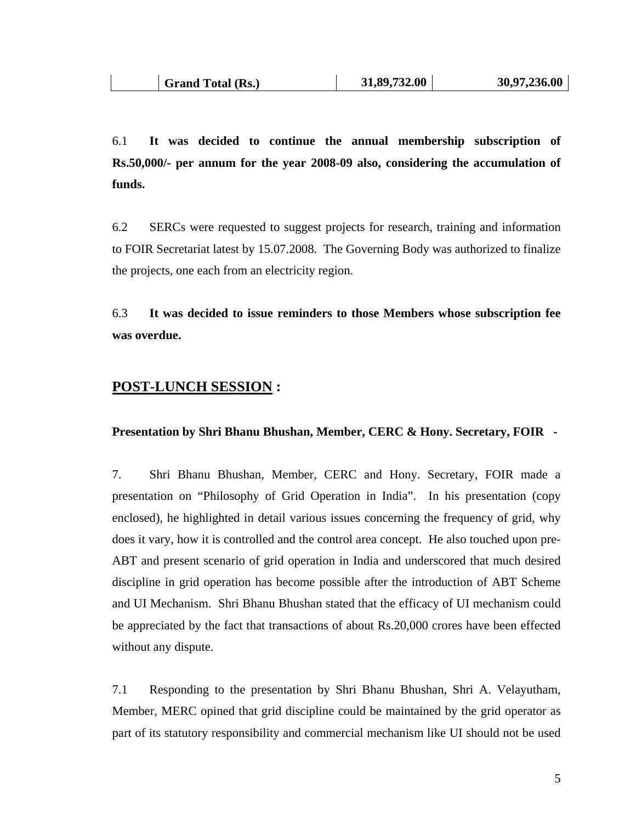6.1 **It was decided to continue the annual membership subscription of Rs.50,000/- per annum for the year 2008-09 also, considering the accumulation of funds.** 

6.2 SERCs were requested to suggest projects for research, training and information to FOIR Secretariat latest by 15.07.2008. The Governing Body was authorized to finalize the projects, one each from an electricity region.

6.3 **It was decided to issue reminders to those Members whose subscription fee was overdue.** 

### **POST-LUNCH SESSION :**

#### **Presentation by Shri Bhanu Bhushan, Member, CERC & Hony. Secretary, FOIR -**

7. Shri Bhanu Bhushan, Member, CERC and Hony. Secretary, FOIR made a presentation on "Philosophy of Grid Operation in India". In his presentation (copy enclosed), he highlighted in detail various issues concerning the frequency of grid, why does it vary, how it is controlled and the control area concept. He also touched upon pre-ABT and present scenario of grid operation in India and underscored that much desired discipline in grid operation has become possible after the introduction of ABT Scheme and UI Mechanism. Shri Bhanu Bhushan stated that the efficacy of UI mechanism could be appreciated by the fact that transactions of about Rs.20,000 crores have been effected without any dispute.

7.1 Responding to the presentation by Shri Bhanu Bhushan, Shri A. Velayutham, Member, MERC opined that grid discipline could be maintained by the grid operator as part of its statutory responsibility and commercial mechanism like UI should not be used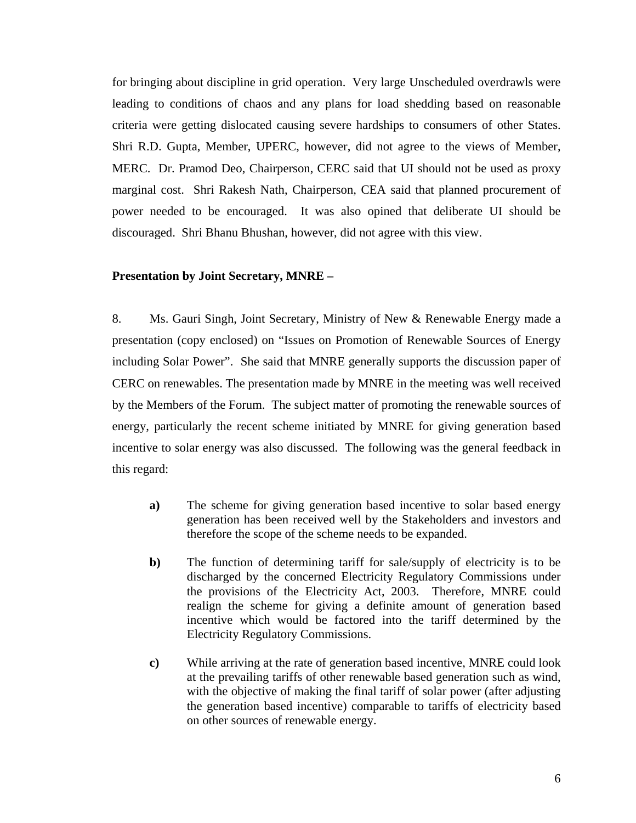for bringing about discipline in grid operation. Very large Unscheduled overdrawls were leading to conditions of chaos and any plans for load shedding based on reasonable criteria were getting dislocated causing severe hardships to consumers of other States. Shri R.D. Gupta, Member, UPERC, however, did not agree to the views of Member, MERC. Dr. Pramod Deo, Chairperson, CERC said that UI should not be used as proxy marginal cost. Shri Rakesh Nath, Chairperson, CEA said that planned procurement of power needed to be encouraged. It was also opined that deliberate UI should be discouraged. Shri Bhanu Bhushan, however, did not agree with this view.

#### **Presentation by Joint Secretary, MNRE –**

8. Ms. Gauri Singh, Joint Secretary, Ministry of New & Renewable Energy made a presentation (copy enclosed) on "Issues on Promotion of Renewable Sources of Energy including Solar Power". She said that MNRE generally supports the discussion paper of CERC on renewables. The presentation made by MNRE in the meeting was well received by the Members of the Forum. The subject matter of promoting the renewable sources of energy, particularly the recent scheme initiated by MNRE for giving generation based incentive to solar energy was also discussed. The following was the general feedback in this regard:

- **a)** The scheme for giving generation based incentive to solar based energy generation has been received well by the Stakeholders and investors and therefore the scope of the scheme needs to be expanded.
- **b)** The function of determining tariff for sale/supply of electricity is to be discharged by the concerned Electricity Regulatory Commissions under the provisions of the Electricity Act, 2003. Therefore, MNRE could realign the scheme for giving a definite amount of generation based incentive which would be factored into the tariff determined by the Electricity Regulatory Commissions.
- **c)** While arriving at the rate of generation based incentive, MNRE could look at the prevailing tariffs of other renewable based generation such as wind, with the objective of making the final tariff of solar power (after adjusting the generation based incentive) comparable to tariffs of electricity based on other sources of renewable energy.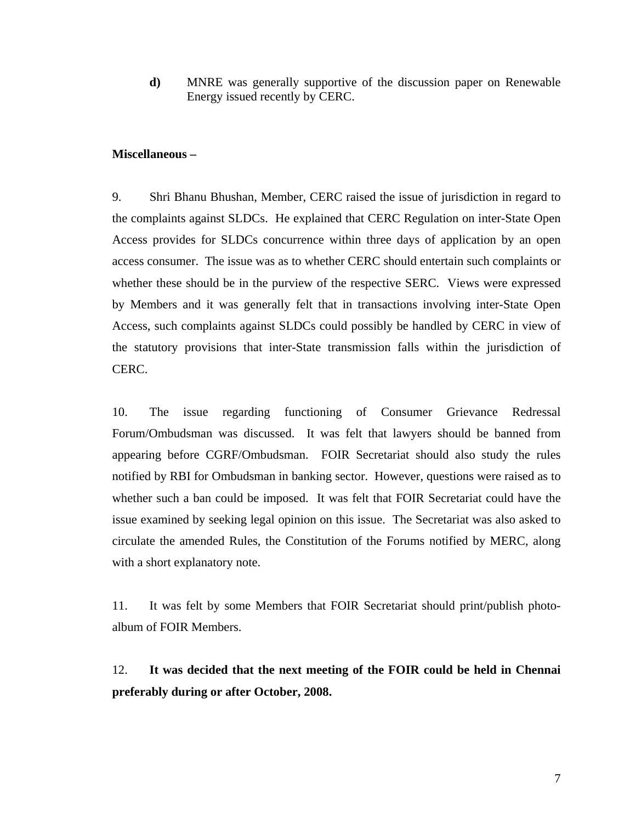**d)** MNRE was generally supportive of the discussion paper on Renewable Energy issued recently by CERC.

#### **Miscellaneous –**

9. Shri Bhanu Bhushan, Member, CERC raised the issue of jurisdiction in regard to the complaints against SLDCs. He explained that CERC Regulation on inter-State Open Access provides for SLDCs concurrence within three days of application by an open access consumer. The issue was as to whether CERC should entertain such complaints or whether these should be in the purview of the respective SERC. Views were expressed by Members and it was generally felt that in transactions involving inter-State Open Access, such complaints against SLDCs could possibly be handled by CERC in view of the statutory provisions that inter-State transmission falls within the jurisdiction of CERC.

10. The issue regarding functioning of Consumer Grievance Redressal Forum/Ombudsman was discussed. It was felt that lawyers should be banned from appearing before CGRF/Ombudsman. FOIR Secretariat should also study the rules notified by RBI for Ombudsman in banking sector. However, questions were raised as to whether such a ban could be imposed. It was felt that FOIR Secretariat could have the issue examined by seeking legal opinion on this issue. The Secretariat was also asked to circulate the amended Rules, the Constitution of the Forums notified by MERC, along with a short explanatory note.

11. It was felt by some Members that FOIR Secretariat should print/publish photoalbum of FOIR Members.

12. **It was decided that the next meeting of the FOIR could be held in Chennai preferably during or after October, 2008.**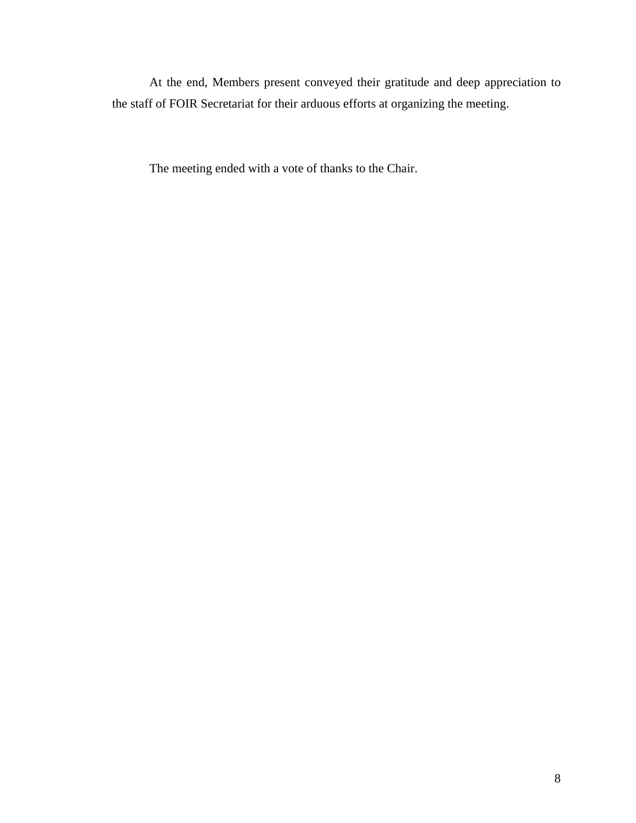At the end, Members present conveyed their gratitude and deep appreciation to the staff of FOIR Secretariat for their arduous efforts at organizing the meeting.

The meeting ended with a vote of thanks to the Chair.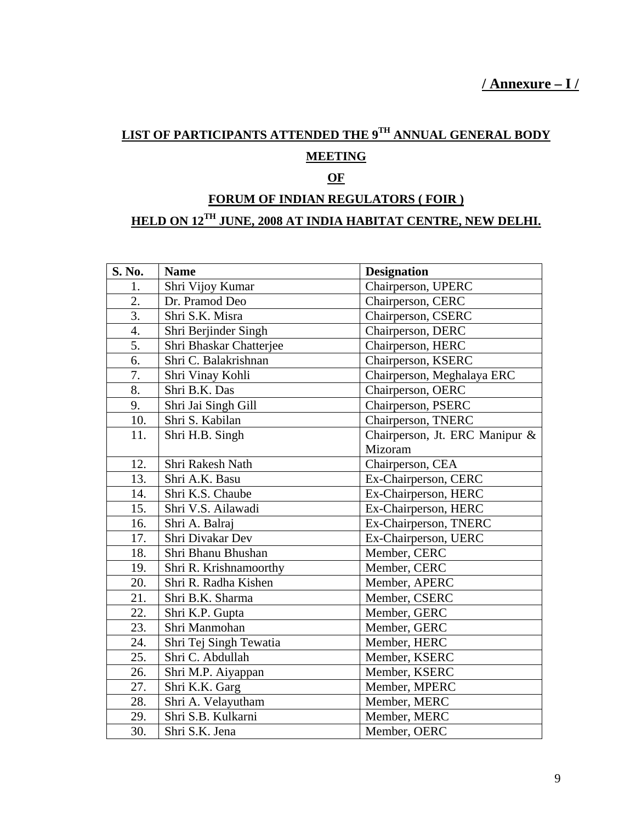## **LIST OF PARTICIPANTS ATTENDED THE 9TH ANNUAL GENERAL BODY MEETING**

## **OF**

# **FORUM OF INDIAN REGULATORS ( FOIR )**

## **HELD ON 12TH JUNE, 2008 AT INDIA HABITAT CENTRE, NEW DELHI.**

| S. No.           | <b>Name</b>             | <b>Designation</b>             |
|------------------|-------------------------|--------------------------------|
| 1.               | Shri Vijoy Kumar        | Chairperson, UPERC             |
| $\overline{2}$ . | Dr. Pramod Deo          | Chairperson, CERC              |
| 3.               | Shri S.K. Misra         | Chairperson, CSERC             |
| 4.               | Shri Berjinder Singh    | Chairperson, DERC              |
| 5.               | Shri Bhaskar Chatterjee | Chairperson, HERC              |
| 6.               | Shri C. Balakrishnan    | Chairperson, KSERC             |
| 7.               | Shri Vinay Kohli        | Chairperson, Meghalaya ERC     |
| 8.               | Shri B.K. Das           | Chairperson, OERC              |
| 9.               | Shri Jai Singh Gill     | Chairperson, PSERC             |
| 10.              | Shri S. Kabilan         | Chairperson, TNERC             |
| 11.              | Shri H.B. Singh         | Chairperson, Jt. ERC Manipur & |
|                  |                         | Mizoram                        |
| 12.              | Shri Rakesh Nath        | Chairperson, CEA               |
| 13.              | Shri A.K. Basu          | Ex-Chairperson, CERC           |
| 14.              | Shri K.S. Chaube        | Ex-Chairperson, HERC           |
| 15.              | Shri V.S. Ailawadi      | Ex-Chairperson, HERC           |
| 16.              | Shri A. Balraj          | Ex-Chairperson, TNERC          |
| 17.              | Shri Divakar Dev        | Ex-Chairperson, UERC           |
| 18.              | Shri Bhanu Bhushan      | Member, CERC                   |
| 19.              | Shri R. Krishnamoorthy  | Member, CERC                   |
| 20.              | Shri R. Radha Kishen    | Member, APERC                  |
| 21.              | Shri B.K. Sharma        | Member, CSERC                  |
| 22.              | Shri K.P. Gupta         | Member, GERC                   |
| 23.              | Shri Manmohan           | Member, GERC                   |
| 24.              | Shri Tej Singh Tewatia  | Member, HERC                   |
| 25.              | Shri C. Abdullah        | Member, KSERC                  |
| 26.              | Shri M.P. Aiyappan      | Member, KSERC                  |
| 27.              | Shri K.K. Garg          | Member, MPERC                  |
| 28.              | Shri A. Velayutham      | Member, MERC                   |
| 29.              | Shri S.B. Kulkarni      | Member, MERC                   |
| 30.              | Shri S.K. Jena          | Member, OERC                   |